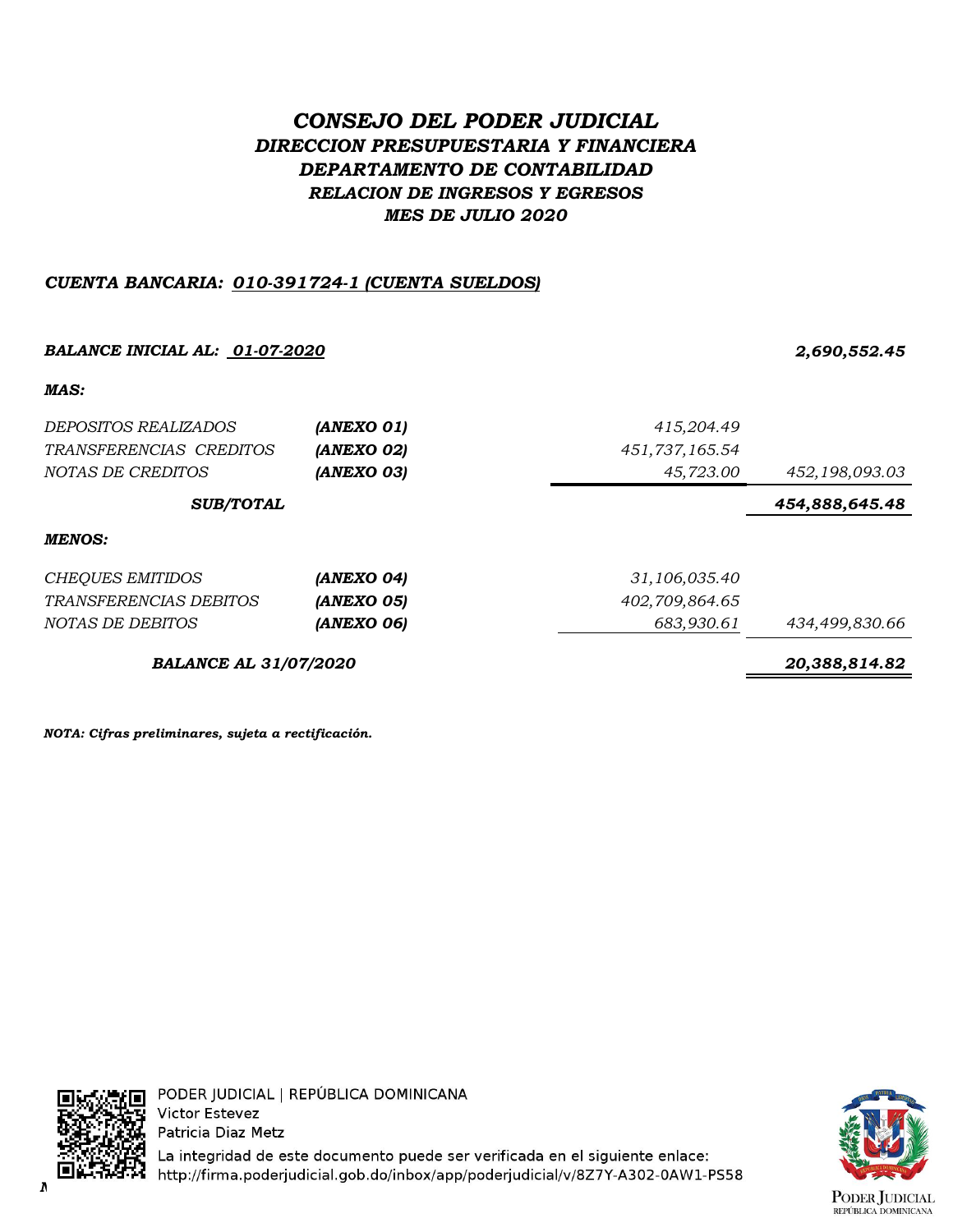# *CONSEJO DEL PODER JUDICIAL DIRECCION PRESUPUESTARIA Y FINANCIERA DEPARTAMENTO DE CONTABILIDAD RELACION DE INGRESOS Y EGRESOS MES DE JULIO 2020*

## *CUENTA BANCARIA: 010-391724-1 (CUENTA SUELDOS)*

# *BALANCE INICIAL AL: 01-07-2020 2,690,552.45 MAS: DEPOSITOS REALIZADOS (ANEXO 01) 415,204.49 TRANSFERENCIAS CREDITOS (ANEXO 02) 451,737,165.54 NOTAS DE CREDITOS (ANEXO 03) 45,723.00 452,198,093.03 454,888,645.48 MENOS: CHEQUES EMITIDOS (ANEXO 04) 31,106,035.40 TRANSFERENCIAS DEBITOS (ANEXO 05) 402,709,864.65 NOTAS DE DEBITOS (ANEXO 06) 683,930.61 434,499,830.66 BALANCE AL 31/07/2020 20,388,814.82 SUB/TOTAL*

*NOTA: Cifras preliminares, sujeta a rectificación.*



PODER JUDICIAL | REPÚBLICA DOMINICANA **Victor Estevez** Patricia Diaz Metz

La integridad de este documento puede ser verificada en el siguiente enlace: *NOTA: Cifras preliminares, sujetas a rectificación.*

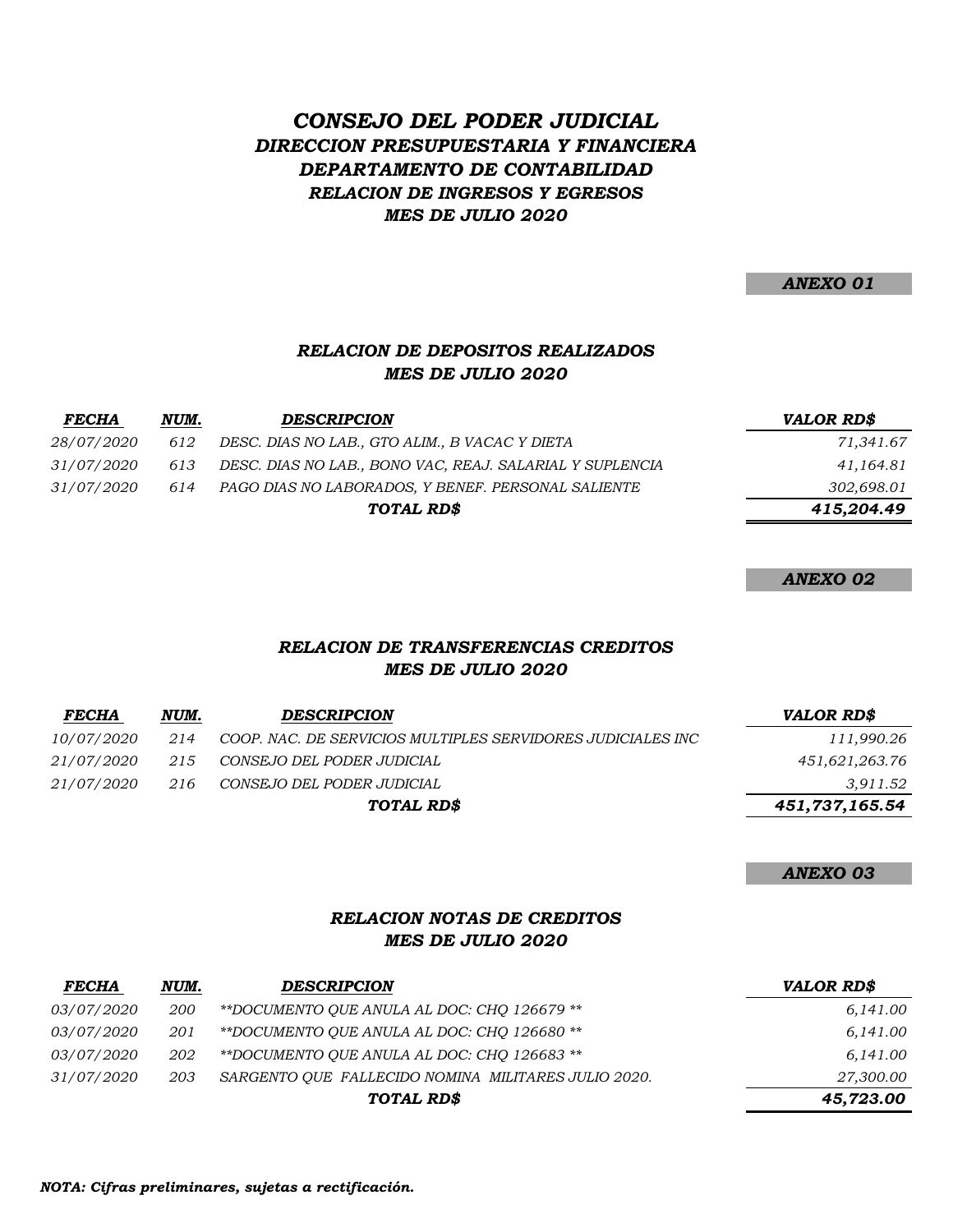# *DIRECCION PRESUPUESTARIA Y FINANCIERA DEPARTAMENTO DE CONTABILIDAD CONSEJO DEL PODER JUDICIAL RELACION DE INGRESOS Y EGRESOS MES DE JULIO 2020*

*ANEXO 01*

### *MES DE JULIO 2020 RELACION DE DEPOSITOS REALIZADOS*

| <b>FECHA</b>      | NUM. | <b>DESCRIPCION</b>                                       | <b>VALOR RD\$</b> |
|-------------------|------|----------------------------------------------------------|-------------------|
| <i>28/07/2020</i> | 612  | DESC. DIAS NO LAB., GTO ALIM., B VACAC Y DIETA           | 71,341.67         |
| <i>31/07/2020</i> | 613  | DESC. DIAS NO LAB., BONO VAC, REAJ. SALARIAL Y SUPLENCIA | 41,164.81         |
| <i>31/07/2020</i> | 614  | PAGO DIAS NO LABORADOS, Y BENEF. PERSONAL SALIENTE       | 302,698.01        |
|                   |      | TOTAL RD\$                                               | 415,204.49        |

*ANEXO 02*

#### *MES DE JULIO 2020 RELACION DE TRANSFERENCIAS CREDITOS*

| <b>FECHA</b>      | NUM. | <b>DESCRIPCION</b>                                          | <b>VALOR RD\$</b> |
|-------------------|------|-------------------------------------------------------------|-------------------|
| <i>10/07/2020</i> | 214  | COOP. NAC. DE SERVICIOS MULTIPLES SERVIDORES JUDICIALES INC | 111,990.26        |
| 21/07/2020        | 215  | CONSEJO DEL PODER JUDICIAL                                  | 451,621,263.76    |
| 21/07/2020        | 216  | CONSEJO DEL PODER JUDICIAL                                  | 3,911.52          |
|                   |      | TOTAL RD\$                                                  | 451,737,165.54    |

#### *ANEXO 03*

### *RELACION NOTAS DE CREDITOS MES DE JULIO 2020*

| <b>FECHA</b>      | NUM. | <b>DESCRIPCION</b>                                  | <b>VALOR RD\$</b> |
|-------------------|------|-----------------------------------------------------|-------------------|
| <i>03/07/2020</i> | 200  | **DOCUMENTO OUE ANULA AL DOC: CHO 126679 **         | 6,141.00          |
| <i>03/07/2020</i> | 201  | **DOCUMENTO OUE ANULA AL DOC: CHO 126680 **         | 6,141.00          |
| <i>03/07/2020</i> | 202  | **DOCUMENTO OUE ANULA AL DOC: CHO 126683 **         | 6,141.00          |
| <i>31/07/2020</i> | 203  | SARGENTO OUE FALLECIDO NOMINA MILITARES JULIO 2020. | 27,300.00         |
|                   |      | TOTAL RD\$                                          | 45,723.00         |

*NOTA: Cifras preliminares, sujetas a rectificación.*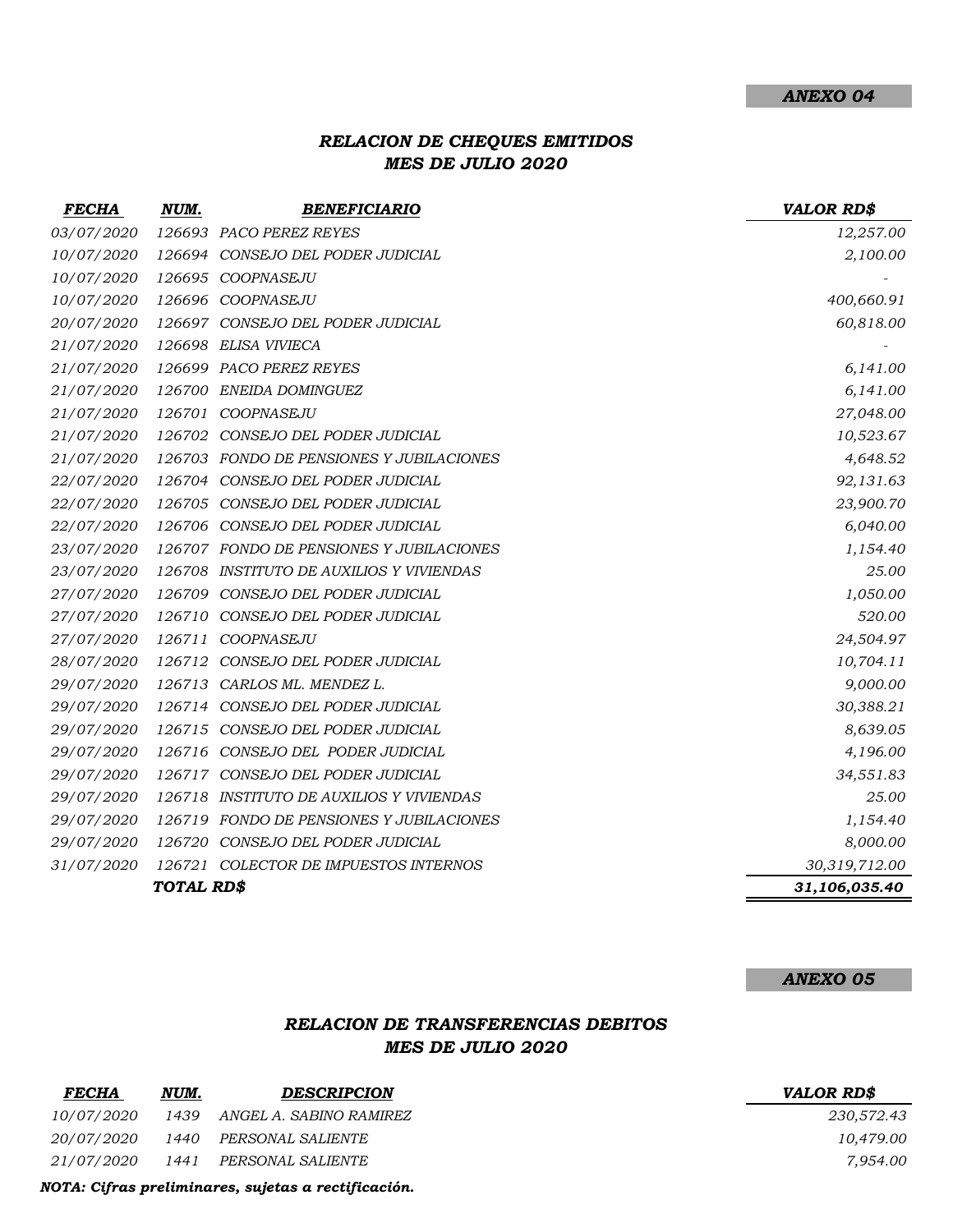## *RELACION DE CHEQUES EMITIDOS MES DE JULIO 2020*

| <b>FECHA</b> | NUM.       | <b>BENEFICIARIO</b>                      | <b>VALOR RD\$</b> |
|--------------|------------|------------------------------------------|-------------------|
| 03/07/2020   |            | 126693 PACO PEREZ REYES                  | 12,257.00         |
| 10/07/2020   |            | 126694 CONSEJO DEL PODER JUDICIAL        | 2,100.00          |
| 10/07/2020   |            | 126695 COOPNASEJU                        |                   |
| 10/07/2020   |            | 126696 COOPNASEJU                        | 400,660.91        |
| 20/07/2020   |            | 126697 CONSEJO DEL PODER JUDICIAL        | 60,818.00         |
| 21/07/2020   |            | 126698 ELISA VIVIECA                     |                   |
| 21/07/2020   |            | 126699 PACO PEREZ REYES                  | 6,141.00          |
| 21/07/2020   |            | 126700 ENEIDA DOMINGUEZ                  | 6,141.00          |
| 21/07/2020   |            | 126701 COOPNASEJU                        | 27,048.00         |
| 21/07/2020   |            | 126702 CONSEJO DEL PODER JUDICIAL        | 10,523.67         |
| 21/07/2020   |            | 126703 FONDO DE PENSIONES Y JUBILACIONES | 4,648.52          |
| 22/07/2020   |            | 126704 CONSEJO DEL PODER JUDICIAL        | 92,131.63         |
| 22/07/2020   |            | 126705 CONSEJO DEL PODER JUDICIAL        | 23,900.70         |
| 22/07/2020   |            | 126706 CONSEJO DEL PODER JUDICIAL        | 6,040.00          |
| 23/07/2020   |            | 126707 FONDO DE PENSIONES Y JUBILACIONES | 1,154.40          |
| 23/07/2020   |            | 126708 INSTITUTO DE AUXILIOS Y VIVIENDAS | 25.00             |
| 27/07/2020   |            | 126709 CONSEJO DEL PODER JUDICIAL        | 1,050.00          |
| 27/07/2020   |            | 126710 CONSEJO DEL PODER JUDICIAL        | 520.00            |
| 27/07/2020   | 126711     | COOPNASEJU                               | 24,504.97         |
| 28/07/2020   | 126712     | CONSEJO DEL PODER JUDICIAL               | 10,704.11         |
| 29/07/2020   |            | 126713 CARLOS ML. MENDEZ L.              | 9,000.00          |
| 29/07/2020   |            | 126714 CONSEJO DEL PODER JUDICIAL        | 30,388.21         |
| 29/07/2020   |            | 126715 CONSEJO DEL PODER JUDICIAL        | 8,639.05          |
| 29/07/2020   |            | 126716 CONSEJO DEL PODER JUDICIAL        | 4,196.00          |
| 29/07/2020   |            | 126717 CONSEJO DEL PODER JUDICIAL        | 34,551.83         |
| 29/07/2020   |            | 126718 INSTITUTO DE AUXILIOS Y VIVIENDAS | 25.00             |
| 29/07/2020   |            | 126719 FONDO DE PENSIONES Y JUBILACIONES | 1,154.40          |
| 29/07/2020   | 126720     | CONSEJO DEL PODER JUDICIAL               | 8,000.00          |
| 31/07/2020   |            | 126721 COLECTOR DE IMPUESTOS INTERNOS    | 30,319,712.00     |
|              | TOTAL RD\$ |                                          | 31,106,035.40     |

#### *ANEXO 05*

### *RELACION DE TRANSFERENCIAS DEBITOS MES DE JULIO 2020*

| NUM. | <b>DESCRIPCION</b> | <i><b>VALOR RDS</b></i>                                                |
|------|--------------------|------------------------------------------------------------------------|
|      |                    | 230,572.43                                                             |
|      |                    | 10,479.00                                                              |
|      |                    | 7,954.00                                                               |
|      |                    | 20/07/2020 1440 PERSONAL SALIENTE<br>21/07/2020 1441 PERSONAL SALIENTE |

#### *FECHA NUM. DESCRIPCION VALOR RD\$*

| 230,572.43 |
|------------|
| 10,479.00  |
| 7,954.00   |

*NOTA: Cifras preliminares, sujetas a rectificación.*